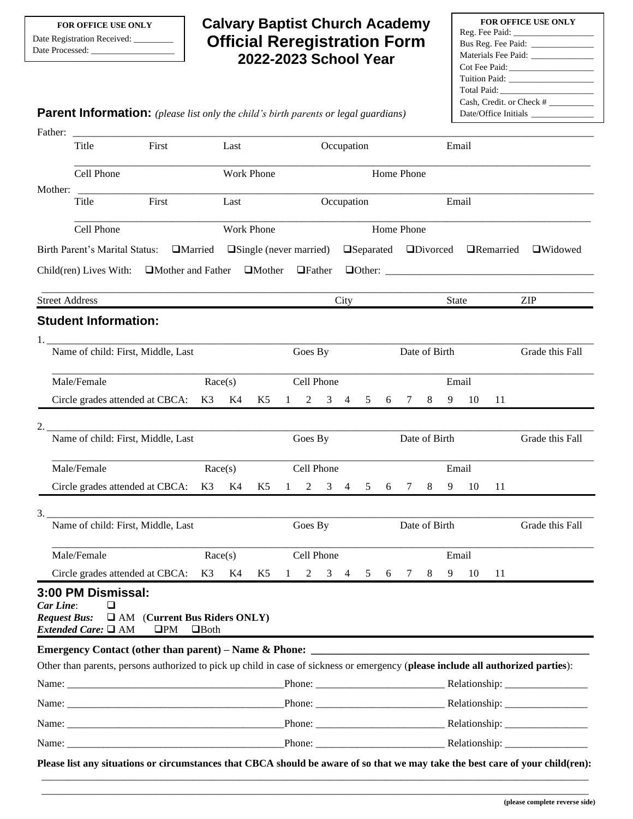## **Calvary Baptist Church Academy Official Reregistration Form 2022-2023 School Year**

| <b>FOR OFFICE USE ONLY</b>           |
|--------------------------------------|
|                                      |
| Bus Reg. Fee Paid: _________________ |
| Materials Fee Paid: ______________   |
|                                      |
| Tuition Paid: Tuition Paid:          |
|                                      |
| Cash, Credit, or Check #             |
|                                      |
|                                      |

**Parent Information:** *(please list only the child's birth parents or legal guardians)*

|                                    | Father:                                                                                                                           |                                                       |  |             |            |                                                                                                               |                                                                             |            |                     |               |   |               |   |       |                 |    |                 |
|------------------------------------|-----------------------------------------------------------------------------------------------------------------------------------|-------------------------------------------------------|--|-------------|------------|---------------------------------------------------------------------------------------------------------------|-----------------------------------------------------------------------------|------------|---------------------|---------------|---|---------------|---|-------|-----------------|----|-----------------|
|                                    | Title                                                                                                                             | First                                                 |  |             | Last       |                                                                                                               |                                                                             |            | Occupation          |               |   |               |   | Email |                 |    |                 |
|                                    | Cell Phone                                                                                                                        |                                                       |  |             |            | Work Phone                                                                                                    |                                                                             | Home Phone |                     |               |   |               |   |       |                 |    |                 |
| Mother:                            | First<br>Title                                                                                                                    |                                                       |  |             | Last       |                                                                                                               |                                                                             |            |                     | Occupation    |   |               |   | Email |                 |    |                 |
|                                    | Cell Phone                                                                                                                        |                                                       |  |             |            | Work Phone                                                                                                    |                                                                             |            |                     |               |   | Home Phone    |   |       |                 |    |                 |
|                                    | Birth Parent's Marital Status:                                                                                                    |                                                       |  |             |            | $\Box$ Married $\Box$ Single (never married) $\Box$ Separated $\Box$ Divorced $\Box$ Remarried $\Box$ Widowed |                                                                             |            |                     |               |   |               |   |       |                 |    |                 |
|                                    |                                                                                                                                   |                                                       |  |             |            |                                                                                                               | Child(ren) Lives With: $\Box$ Mother and Father $\Box$ Mother $\Box$ Father |            |                     |               |   |               |   |       |                 |    |                 |
|                                    | <b>Street Address</b>                                                                                                             |                                                       |  |             |            |                                                                                                               |                                                                             |            | City                |               |   |               |   | State |                 |    | <b>ZIP</b>      |
|                                    | <b>Student Information:</b>                                                                                                       |                                                       |  |             |            |                                                                                                               |                                                                             |            |                     |               |   |               |   |       |                 |    |                 |
|                                    |                                                                                                                                   |                                                       |  |             |            |                                                                                                               |                                                                             |            |                     |               |   |               |   |       |                 |    |                 |
| Name of child: First, Middle, Last |                                                                                                                                   |                                                       |  | Goes By     |            |                                                                                                               |                                                                             |            |                     | Date of Birth |   |               |   |       | Grade this Fall |    |                 |
|                                    | Male/Female                                                                                                                       |                                                       |  | Race(s)     |            |                                                                                                               |                                                                             | Cell Phone |                     |               |   |               |   | Email |                 |    |                 |
|                                    | Circle grades attended at CBCA: K3 K4                                                                                             |                                                       |  |             |            | K5                                                                                                            | 1                                                                           |            | $2 \quad 3 \quad 4$ | 5             | 6 | $7\degree$    | 8 | 9     | 10              | 11 |                 |
|                                    | <u> 1980 - Jan Barnett, margaret amerikan basar dan berasal dari personal dan personal dan berasal dan berasal da</u>             |                                                       |  |             |            |                                                                                                               |                                                                             |            |                     |               |   |               |   |       |                 |    |                 |
|                                    | Name of child: First, Middle, Last                                                                                                |                                                       |  |             |            |                                                                                                               |                                                                             | Goes By    |                     |               |   | Date of Birth |   |       |                 |    | Grade this Fall |
|                                    | Male/Female                                                                                                                       |                                                       |  | Race(s)     |            |                                                                                                               |                                                                             | Cell Phone |                     |               |   |               |   | Email |                 |    |                 |
|                                    | Circle grades attended at CBCA: K3 K4                                                                                             |                                                       |  |             |            | K5                                                                                                            | 1                                                                           |            | $2 \t3 \t4$         | 5             | 6 | $7\degree$    | 8 | 9     | 10              | 11 |                 |
| 3.                                 | Name of child: First, Middle, Last                                                                                                |                                                       |  |             |            |                                                                                                               |                                                                             | Goes By    |                     |               |   | Date of Birth |   |       |                 |    | Grade this Fall |
|                                    | Male/Female<br>Race(s)                                                                                                            |                                                       |  |             | Cell Phone |                                                                                                               |                                                                             |            |                     | Email         |   |               |   |       |                 |    |                 |
|                                    | Circle grades attended at CBCA:                                                                                                   |                                                       |  | K3          | K4         | K5                                                                                                            | $\mathbf{1}$                                                                | 2          | 3<br>4              | 5             | 6 | 7             | 8 | 9     | 10              | 11 |                 |
| Car Line:<br><b>Request Bus:</b>   | 3:00 PM Dismissal:<br>⊔<br><i>Extended Care:</i> □ AM                                                                             | <b>EXAM</b> (Current Bus Riders ONLY)<br>$\square PM$ |  | $\Box$ Both |            |                                                                                                               |                                                                             |            |                     |               |   |               |   |       |                 |    |                 |
|                                    | Other than parents, persons authorized to pick up child in case of sickness or emergency (please include all authorized parties): |                                                       |  |             |            |                                                                                                               |                                                                             |            |                     |               |   |               |   |       |                 |    |                 |
|                                    |                                                                                                                                   |                                                       |  |             |            |                                                                                                               |                                                                             |            |                     |               |   |               |   |       |                 |    |                 |
| Name: Name:                        |                                                                                                                                   |                                                       |  |             |            |                                                                                                               |                                                                             |            |                     |               |   |               |   |       |                 |    |                 |
|                                    |                                                                                                                                   |                                                       |  |             |            |                                                                                                               |                                                                             |            |                     |               |   |               |   |       |                 |    |                 |
|                                    |                                                                                                                                   |                                                       |  |             |            |                                                                                                               |                                                                             |            |                     |               |   |               |   |       |                 |    |                 |
|                                    |                                                                                                                                   |                                                       |  |             |            |                                                                                                               |                                                                             |            |                     |               |   |               |   |       |                 |    |                 |

\_\_\_\_\_\_\_\_\_\_\_\_\_\_\_\_\_\_\_\_\_\_\_\_\_\_\_\_\_\_\_\_\_\_\_\_\_\_\_\_\_\_\_\_\_\_\_\_\_\_\_\_\_\_\_\_\_\_\_\_\_\_\_\_\_\_\_\_\_\_\_\_\_\_\_\_\_\_\_\_\_\_\_\_\_\_\_\_\_\_\_\_\_\_\_\_\_\_\_\_\_\_\_\_\_